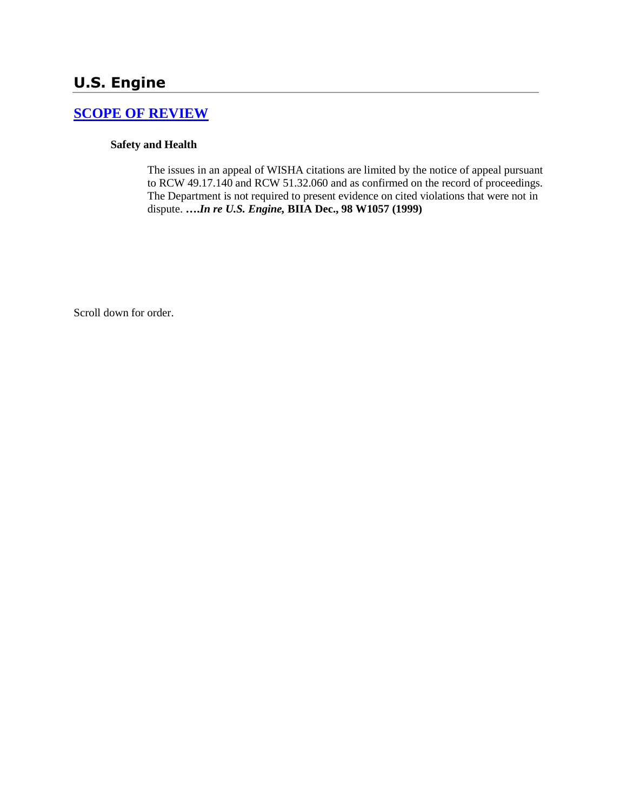# **U.S. Engine**

### **[SCOPE OF REVIEW](http://www.biia.wa.gov/SDSubjectIndex.html#SCOPE_OF_REVIEW)**

#### **Safety and Health**

The issues in an appeal of WISHA citations are limited by the notice of appeal pursuant to RCW 49.17.140 and RCW 51.32.060 and as confirmed on the record of proceedings. The Department is not required to present evidence on cited violations that were not in dispute. **….***In re U.S. Engine,* **BIIA Dec., 98 W1057 (1999)** 

Scroll down for order.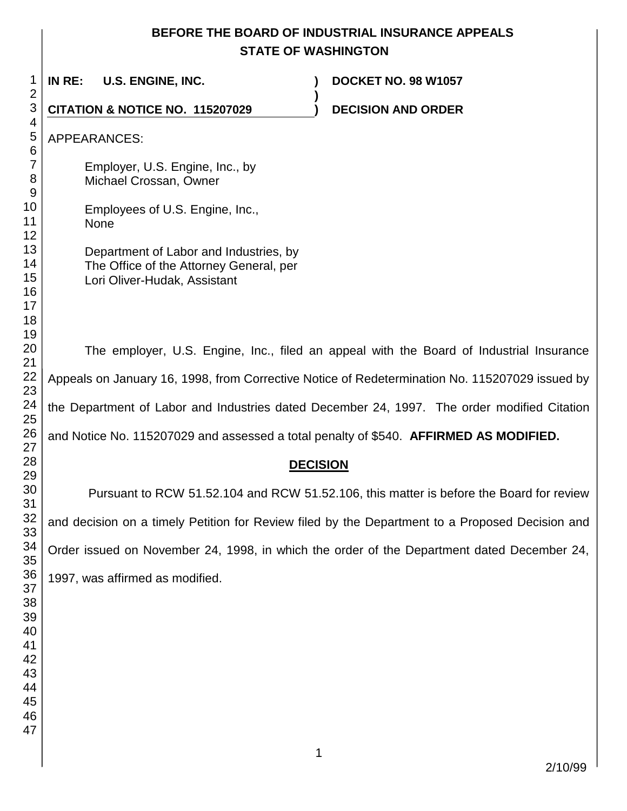## **BEFORE THE BOARD OF INDUSTRIAL INSURANCE APPEALS STATE OF WASHINGTON**

| 1<br>$\overline{2}$        | IN RE:<br><b>U.S. ENGINE, INC.</b><br><b>DOCKET NO. 98 W1057</b>                                                  |  |  |
|----------------------------|-------------------------------------------------------------------------------------------------------------------|--|--|
| $\mathbf{3}$               | CITATION & NOTICE NO. 115207029<br><b>DECISION AND ORDER</b>                                                      |  |  |
| 4<br>5<br>6                | <b>APPEARANCES:</b>                                                                                               |  |  |
| 7<br>8<br>9                | Employer, U.S. Engine, Inc., by<br>Michael Crossan, Owner                                                         |  |  |
| 10<br>11<br>12             | Employees of U.S. Engine, Inc.,<br><b>None</b>                                                                    |  |  |
| 13<br>14<br>15<br>16<br>17 | Department of Labor and Industries, by<br>The Office of the Attorney General, per<br>Lori Oliver-Hudak, Assistant |  |  |
| 18<br>19<br>20<br>21       | The employer, U.S. Engine, Inc., filed an appeal with the Board of Industrial Insurance                           |  |  |
| 22<br>23                   | Appeals on January 16, 1998, from Corrective Notice of Redetermination No. 115207029 issued by                    |  |  |
| 24<br>25                   | the Department of Labor and Industries dated December 24, 1997. The order modified Citation                       |  |  |
| 26<br>27                   | and Notice No. 115207029 and assessed a total penalty of \$540. AFFIRMED AS MODIFIED.                             |  |  |
| 28<br>29                   | <b>DECISION</b>                                                                                                   |  |  |
| 30<br>31                   | Pursuant to RCW 51.52.104 and RCW 51.52.106, this matter is before the Board for review                           |  |  |
| 32<br>33                   | and decision on a timely Petition for Review filed by the Department to a Proposed Decision and                   |  |  |
| 34<br>35                   | Order issued on November 24, 1998, in which the order of the Department dated December 24,                        |  |  |
| 36<br>37<br>38             | 1997, was affirmed as modified.                                                                                   |  |  |
| 39<br>40                   |                                                                                                                   |  |  |
| 41<br>42                   |                                                                                                                   |  |  |
| 43<br>44                   |                                                                                                                   |  |  |
| 45<br>46<br>47             |                                                                                                                   |  |  |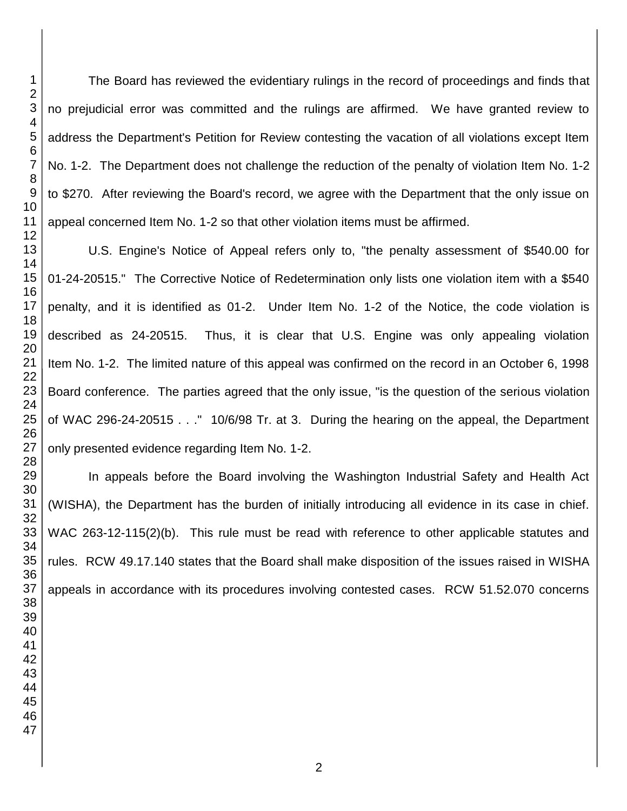The Board has reviewed the evidentiary rulings in the record of proceedings and finds that no prejudicial error was committed and the rulings are affirmed. We have granted review to address the Department's Petition for Review contesting the vacation of all violations except Item No. 1-2. The Department does not challenge the reduction of the penalty of violation Item No. 1-2 to \$270. After reviewing the Board's record, we agree with the Department that the only issue on appeal concerned Item No. 1-2 so that other violation items must be affirmed.

U.S. Engine's Notice of Appeal refers only to, "the penalty assessment of \$540.00 for 01-24-20515." The Corrective Notice of Redetermination only lists one violation item with a \$540 penalty, and it is identified as 01-2. Under Item No. 1-2 of the Notice, the code violation is described as 24-20515. Thus, it is clear that U.S. Engine was only appealing violation Item No. 1-2. The limited nature of this appeal was confirmed on the record in an October 6, 1998 Board conference. The parties agreed that the only issue, "is the question of the serious violation of WAC 296-24-20515 . . ." 10/6/98 Tr. at 3. During the hearing on the appeal, the Department only presented evidence regarding Item No. 1-2.

In appeals before the Board involving the Washington Industrial Safety and Health Act (WISHA), the Department has the burden of initially introducing all evidence in its case in chief. WAC 263-12-115(2)(b). This rule must be read with reference to other applicable statutes and rules. RCW 49.17.140 states that the Board shall make disposition of the issues raised in WISHA appeals in accordance with its procedures involving contested cases. RCW 51.52.070 concerns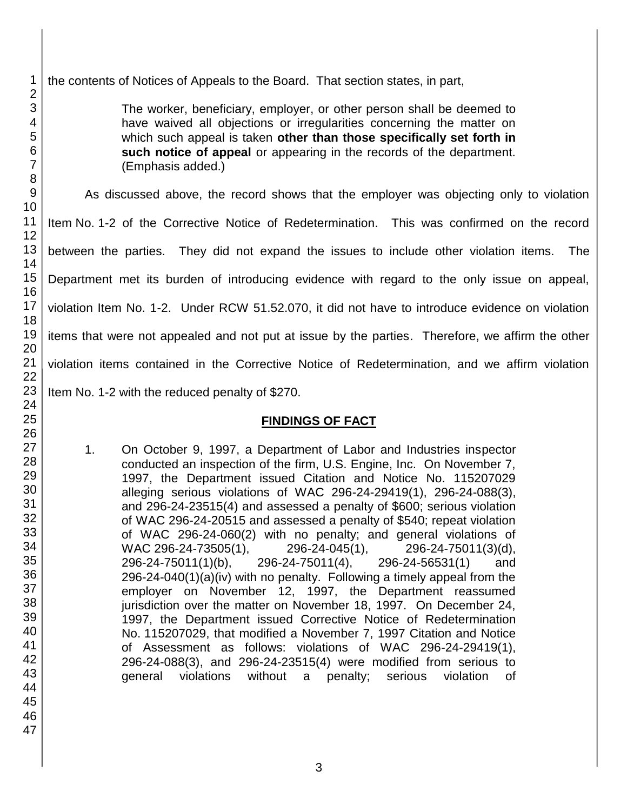the contents of Notices of Appeals to the Board. That section states, in part,

The worker, beneficiary, employer, or other person shall be deemed to have waived all objections or irregularities concerning the matter on which such appeal is taken **other than those specifically set forth in such notice of appeal** or appearing in the records of the department. (Emphasis added.)

As discussed above, the record shows that the employer was objecting only to violation

Item No. 1-2 of the Corrective Notice of Redetermination. This was confirmed on the record

between the parties. They did not expand the issues to include other violation items. The

Department met its burden of introducing evidence with regard to the only issue on appeal,

violation Item No. 1-2. Under RCW 51.52.070, it did not have to introduce evidence on violation

items that were not appealed and not put at issue by the parties. Therefore, we affirm the other

violation items contained in the Corrective Notice of Redetermination, and we affirm violation

Item No. 1-2 with the reduced penalty of \$270.

### **FINDINGS OF FACT**

1. On October 9, 1997, a Department of Labor and Industries inspector conducted an inspection of the firm, U.S. Engine, Inc. On November 7, 1997, the Department issued Citation and Notice No. 115207029 alleging serious violations of WAC 296-24-29419(1), 296-24-088(3), and 296-24-23515(4) and assessed a penalty of \$600; serious violation of WAC 296-24-20515 and assessed a penalty of \$540; repeat violation of WAC 296-24-060(2) with no penalty; and general violations of WAC 296-24-73505(1), 296-24-045(1), 296-24-75011(3)(d), 296-24-75011(1)(b), 296-24-75011(4), 296-24-56531(1) and 296-24-040(1)(a)(iv) with no penalty. Following a timely appeal from the employer on November 12, 1997, the Department reassumed jurisdiction over the matter on November 18, 1997. On December 24, 1997, the Department issued Corrective Notice of Redetermination No. 115207029, that modified a November 7, 1997 Citation and Notice of Assessment as follows: violations of WAC 296-24-29419(1), 296-24-088(3), and 296-24-23515(4) were modified from serious to general violations without a penalty; serious violation of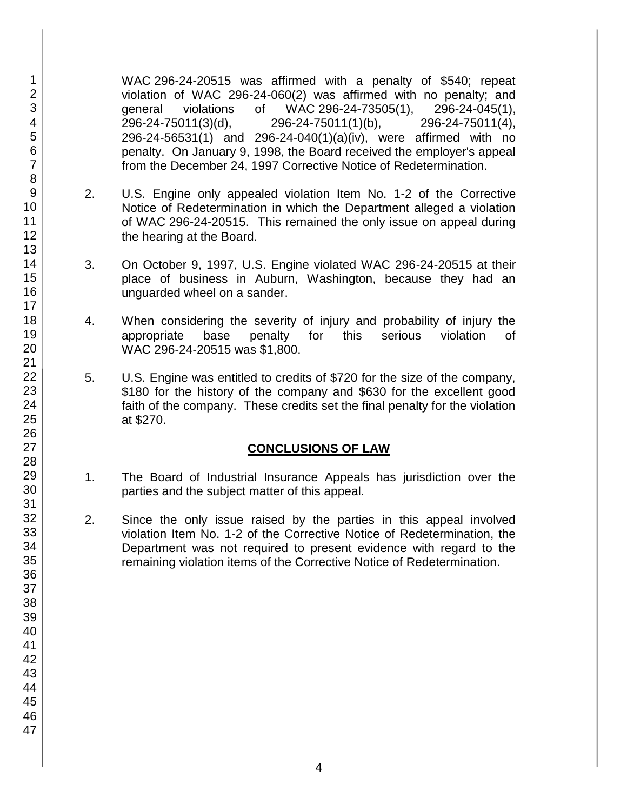WAC 296-24-20515 was affirmed with a penalty of \$540; repeat violation of WAC 296-24-060(2) was affirmed with no penalty; and general violations of WAC 296-24-73505(1), 296-24-045(1), 296-24-75011(3)(d), 296-24-75011(1)(b), 296-24-75011(4), 296-24-56531(1) and 296-24-040(1)(a)(iv), were affirmed with no penalty. On January 9, 1998, the Board received the employer's appeal from the December 24, 1997 Corrective Notice of Redetermination.

- 2. U.S. Engine only appealed violation Item No. 1-2 of the Corrective Notice of Redetermination in which the Department alleged a violation of WAC 296-24-20515. This remained the only issue on appeal during the hearing at the Board.
- 3. On October 9, 1997, U.S. Engine violated WAC 296-24-20515 at their place of business in Auburn, Washington, because they had an unguarded wheel on a sander.
- 4. When considering the severity of injury and probability of injury the appropriate base penalty for this serious violation of WAC 296-24-20515 was \$1,800.
- 5. U.S. Engine was entitled to credits of \$720 for the size of the company, \$180 for the history of the company and \$630 for the excellent good faith of the company. These credits set the final penalty for the violation at \$270.

### **CONCLUSIONS OF LAW**

- 1. The Board of Industrial Insurance Appeals has jurisdiction over the parties and the subject matter of this appeal.
- 2. Since the only issue raised by the parties in this appeal involved violation Item No. 1-2 of the Corrective Notice of Redetermination, the Department was not required to present evidence with regard to the remaining violation items of the Corrective Notice of Redetermination.